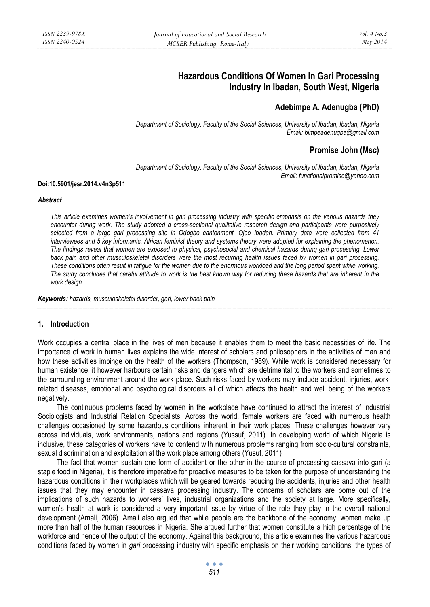# **Hazardous Conditions Of Women In Gari Processing Industry In Ibadan, South West, Nigeria**

# **Adebimpe A. Adenugba (PhD)**

*Department of Sociology, Faculty of the Social Sciences, University of Ibadan, Ibadan, Nigeria Email: bimpeadenugba@gmail.com* 

# **Promise John (Msc)**

*Department of Sociology, Faculty of the Social Sciences, University of Ibadan, Ibadan, Nigeria Email: functionalpromise@yahoo.com* 

#### **Doi:10.5901/jesr.2014.v4n3p511**

#### *Abstract*

*This article examines women's involvement in gari processing industry with specific emphasis on the various hazards they encounter during work. The study adopted a cross-sectional qualitative research design and participants were purposively selected from a large gari processing site in Odogbo cantonment, Ojoo Ibadan. Primary data were collected from 41 interviewees and 5 key informants. African feminist theory and systems theory were adopted for explaining the phenomenon. The findings reveal that women are exposed to physical, psychosocial and chemical hazards during gari processing. Lower*  back pain and other musculoskeletal disorders were the most recurring health issues faced by women in gari processing. *These conditions often result in fatigue for the women due to the enormous workload and the long period spent while working. The study concludes that careful attitude to work is the best known way for reducing these hazards that are inherent in the work design.* 

*Keywords: hazards, musculoskeletal disorder, gari, lower back pain*

## **1. Introduction**

Work occupies a central place in the lives of men because it enables them to meet the basic necessities of life. The importance of work in human lives explains the wide interest of scholars and philosophers in the activities of man and how these activities impinge on the health of the workers (Thompson, 1989). While work is considered necessary for human existence, it however harbours certain risks and dangers which are detrimental to the workers and sometimes to the surrounding environment around the work place. Such risks faced by workers may include accident, injuries, workrelated diseases, emotional and psychological disorders all of which affects the health and well being of the workers negatively.

The continuous problems faced by women in the workplace have continued to attract the interest of Industrial Sociologists and Industrial Relation Specialists. Across the world, female workers are faced with numerous health challenges occasioned by some hazardous conditions inherent in their work places. These challenges however vary across individuals, work environments, nations and regions (Yussuf, 2011). In developing world of which Nigeria is inclusive, these categories of workers have to contend with numerous problems ranging from socio-cultural constraints, sexual discrimination and exploitation at the work place among others (Yusuf, 2011)

The fact that women sustain one form of accident or the other in the course of processing cassava into gari (a staple food in Nigeria), it is therefore imperative for proactive measures to be taken for the purpose of understanding the hazardous conditions in their workplaces which will be geared towards reducing the accidents, injuries and other health issues that they may encounter in cassava processing industry. The concerns of scholars are borne out of the implications of such hazards to workers' lives, industrial organizations and the society at large. More specifically, women's health at work is considered a very important issue by virtue of the role they play in the overall national development (Amali, 2006). Amali also argued that while people are the backbone of the economy, women make up more than half of the human resources in Nigeria. She argued further that women constitute a high percentage of the workforce and hence of the output of the economy. Against this background, this article examines the various hazardous conditions faced by women in *gari* processing industry with specific emphasis on their working conditions, the types of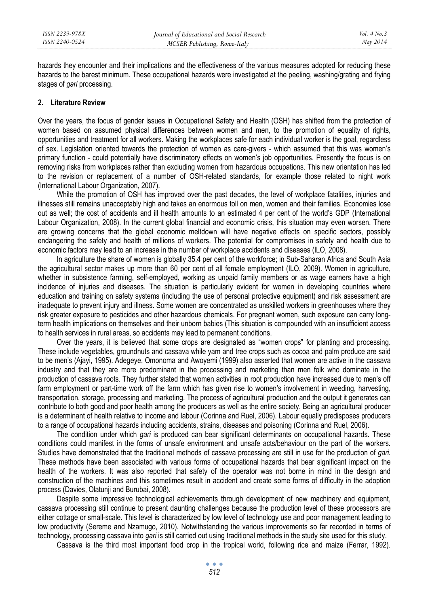hazards they encounter and their implications and the effectiveness of the various measures adopted for reducing these hazards to the barest minimum. These occupational hazards were investigated at the peeling, washing/grating and frying stages of *gari* processing.

### **2. Literature Review**

Over the years, the focus of gender issues in Occupational Safety and Health (OSH) has shifted from the protection of women based on assumed physical differences between women and men, to the promotion of equality of rights, opportunities and treatment for all workers. Making the workplaces safe for each individual worker is the goal, regardless of sex. Legislation oriented towards the protection of women as care-givers - which assumed that this was women's primary function - could potentially have discriminatory effects on women's job opportunities. Presently the focus is on removing risks from workplaces rather than excluding women from hazardous occupations. This new orientation has led to the revision or replacement of a number of OSH-related standards, for example those related to night work (International Labour Organization, 2007).

While the promotion of OSH has improved over the past decades, the level of workplace fatalities, injuries and illnesses still remains unacceptably high and takes an enormous toll on men, women and their families. Economies lose out as well; the cost of accidents and ill health amounts to an estimated 4 per cent of the world's GDP (International Labour Organization, 2008). In the current global financial and economic crisis, this situation may even worsen. There are growing concerns that the global economic meltdown will have negative effects on specific sectors, possibly endangering the safety and health of millions of workers. The potential for compromises in safety and health due to economic factors may lead to an increase in the number of workplace accidents and diseases (ILO, 2008).

In agriculture the share of women is globally 35.4 per cent of the workforce; in Sub-Saharan Africa and South Asia the agricultural sector makes up more than 60 per cent of all female employment (ILO, 2009). Women in agriculture, whether in subsistence farming, self-employed, working as unpaid family members or as wage earners have a high incidence of injuries and diseases. The situation is particularly evident for women in developing countries where education and training on safety systems (including the use of personal protective equipment) and risk assessment are inadequate to prevent injury and illness. Some women are concentrated as unskilled workers in greenhouses where they risk greater exposure to pesticides and other hazardous chemicals. For pregnant women, such exposure can carry longterm health implications on themselves and their unborn babies (This situation is compounded with an insufficient access to health services in rural areas, so accidents may lead to permanent conditions.

Over the years, it is believed that some crops are designated as "women crops" for planting and processing. These include vegetables, groundnuts and cassava while yam and tree crops such as cocoa and palm produce are said to be men's (Ajayi, 1995). Adegeye, Omonoma and Awoyemi (1999) also asserted that women are active in the cassava industry and that they are more predominant in the processing and marketing than men folk who dominate in the production of cassava roots. They further stated that women activities in root production have increased due to men's off farm employment or part-time work off the farm which has given rise to women's involvement in weeding, harvesting, transportation, storage, processing and marketing. The process of agricultural production and the output it generates can contribute to both good and poor health among the producers as well as the entire society. Being an agricultural producer is a determinant of health relative to income and labour (Corinna and Ruel, 2006). Labour equally predisposes producers to a range of occupational hazards including accidents, strains, diseases and poisoning (Corinna and Ruel, 2006).

The condition under which *gari* is produced can bear significant determinants on occupational hazards. These conditions could manifest in the forms of unsafe environment and unsafe acts/behaviour on the part of the workers. Studies have demonstrated that the traditional methods of cassava processing are still in use for the production of *gari.*  These methods have been associated with various forms of occupational hazards that bear significant impact on the health of the workers. It was also reported that safety of the operator was not borne in mind in the design and construction of the machines and this sometimes result in accident and create some forms of difficulty in the adoption process (Davies, Olatunji and Burubai, 2008).

Despite some impressive technological achievements through development of new machinery and equipment, cassava processing still continue to present daunting challenges because the production level of these processors are either cottage or small-scale. This level is characterized by low level of technology use and poor management leading to low productivity (Sereme and Nzamugo, 2010). Notwithstanding the various improvements so far recorded in terms of technology, processing cassava into *gari* is still carried out using traditional methods in the study site used for this study.

Cassava is the third most important food crop in the tropical world, following rice and maize (Ferrar, 1992).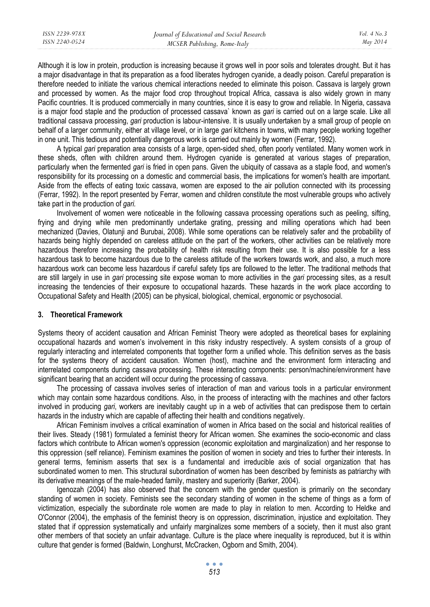Although it is low in protein, production is increasing because it grows well in poor soils and tolerates drought. But it has a major disadvantage in that its preparation as a food liberates hydrogen cyanide, a deadly poison. Careful preparation is therefore needed to initiate the various chemical interactions needed to eliminate this poison. Cassava is largely grown and processed by women. As the major food crop throughout tropical Africa, cassava is also widely grown in many Pacific countries. It is produced commercially in many countries, since it is easy to grow and reliable. In Nigeria, cassava is a major food staple and the production of processed cassava` known as *gari* is carried out on a large scale. Like all traditional cassava processing, *gari* production is labour-intensive. It is usually undertaken by a small group of people on behalf of a larger community, either at village level, or in large *gari* kitchens in towns, with many people working together in one unit. This tedious and potentially dangerous work is carried out mainly by women (Ferrar, 1992).

A typical *gari* preparation area consists of a large, open-sided shed, often poorly ventilated. Many women work in these sheds, often with children around them. Hydrogen cyanide is generated at various stages of preparation, particularly when the fermented *gari* is fried in open pans. Given the ubiquity of cassava as a staple food, and women's responsibility for its processing on a domestic and commercial basis, the implications for women's health are important. Aside from the effects of eating toxic cassava, women are exposed to the air pollution connected with its processing (Ferrar, 1992). In the report presented by Ferrar, women and children constitute the most vulnerable groups who actively take part in the production of *gari.* 

Involvement of women were noticeable in the following cassava processing operations such as peeling, sifting, frying and drying while men predominantly undertake grating, pressing and milling operations which had been mechanized (Davies, Olatunji and Burubai, 2008). While some operations can be relatively safer and the probability of hazards being highly depended on careless attitude on the part of the workers, other activities can be relatively more hazardous therefore increasing the probability of health risk resulting from their use. It is also possible for a less hazardous task to become hazardous due to the careless attitude of the workers towards work, and also, a much more hazardous work can become less hazardous if careful safety tips are followed to the letter. The traditional methods that are still largely in use in *gari* processing site expose woman to more activities in the *gari* processing sites, as a result increasing the tendencies of their exposure to occupational hazards. These hazards in the work place according to Occupational Safety and Health (2005) can be physical, biological, chemical, ergonomic or psychosocial.

## **3. Theoretical Framework**

Systems theory of accident causation and African Feminist Theory were adopted as theoretical bases for explaining occupational hazards and women's involvement in this risky industry respectively. A system consists of a group of regularly interacting and interrelated components that together form a unified whole. This definition serves as the basis for the systems theory of accident causation. Women (host), machine and the environment form interacting and interrelated components during cassava processing. These interacting components: person/machine/environment have significant bearing that an accident will occur during the processing of cassava.

The processing of cassava involves series of interaction of man and various tools in a particular environment which may contain some hazardous conditions. Also, in the process of interacting with the machines and other factors involved in producing *gari*, workers are inevitably caught up in a web of activities that can predispose them to certain hazards in the industry which are capable of affecting their health and conditions negatively.

African Feminism involves a critical examination of women in Africa based on the social and historical realities of their lives. Steady (1981) formulated a feminist theory for African women. She examines the socio-economic and class factors which contribute to African women's oppression (economic exploitation and marginalization) and her response to this oppression (self reliance). Feminism examines the position of women in society and tries to further their interests. In general terms, feminism asserts that sex is a fundamental and irreducible axis of social organization that has subordinated women to men. This structural subordination of women has been described by feminists as patriarchy with its derivative meanings of the male-headed family, mastery and superiority (Barker, 2004).

Igenozah (2004) has also observed that the concern with the gender question is primarily on the secondary standing of women in society. Feminists see the secondary standing of women in the scheme of things as a form of victimization, especially the subordinate role women are made to play in relation to men. According to Heldke and O'Connor (2004), the emphasis of the feminist theory is on oppression, discrimination, injustice and exploitation. They stated that if oppression systematically and unfairly marginalizes some members of a society, then it must also grant other members of that society an unfair advantage. Culture is the place where inequality is reproduced, but it is within culture that gender is formed (Baldwin, Longhurst, McCracken, Ogborn and Smith, 2004).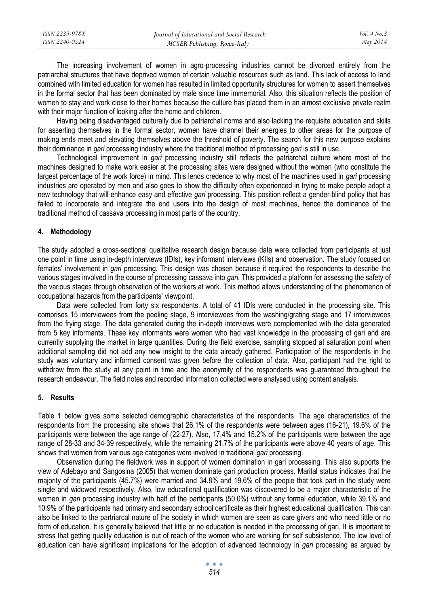| ISSN 2239-978X | Journal of Educational and Social Research | Vol. 4 No.3 |
|----------------|--------------------------------------------|-------------|
| ISSN 2240-0524 | MCSER Publishing, Rome-Italy               | May 2014    |
|                |                                            |             |

The increasing involvement of women in agro-processing industries cannot be divorced entirely from the patriarchal structures that have deprived women of certain valuable resources such as land. This lack of access to land combined with limited education for women has resulted in limited opportunity structures for women to assert themselves in the formal sector that has been dominated by male since time immemorial. Also, this situation reflects the position of women to stay and work close to their homes because the culture has placed them in an almost exclusive private realm with their major function of looking after the home and children.

Having being disadvantaged culturally due to patriarchal norms and also lacking the requisite education and skills for asserting themselves in the formal sector, women have channel their energies to other areas for the purpose of making ends meet and elevating themselves above the threshold of poverty. The search for this new purpose explains their dominance in *gari* processing industry where the traditional method of processing *gari* is still in use.

Technological improvement in *gari* processing industry still reflects the patriarchal culture where most of the machines designed to make work easier at the processing sites were designed without the women (who constitute the largest percentage of the work force) in mind. This lends credence to why most of the machines used in *gari* processing industries are operated by men and also goes to show the difficulty often experienced in trying to make people adopt a new technology that will enhance easy and effective *gari* processing. This position reflect a gender-blind policy that has failed to incorporate and integrate the end users into the design of most machines, hence the dominance of the traditional method of cassava processing in most parts of the country.

## **4. Methodology**

The study adopted a cross-sectional qualitative research design because data were collected from participants at just one point in time using in-depth interviews (IDIs), key informant interviews (KIIs) and observation. The study focused on females' involvement in *gari* processing. This design was chosen because it required the respondents to describe the various stages involved in the course of processing cassava into *gari*. This provided a platform for assessing the safety of the various stages through observation of the workers at work. This method allows understanding of the phenomenon of occupational hazards from the participants' viewpoint.

Data were collected from forty six respondents. A total of 41 IDIs were conducted in the processing site. This comprises 15 interviewees from the peeling stage, 9 interviewees from the washing/grating stage and 17 interviewees from the frying stage. The data generated during the in-depth interviews were complemented with the data generated from 5 key informants. These key informants were women who had vast knowledge in the processing of gari and are currently supplying the market in large quantities. During the field exercise, sampling stopped at saturation point when additional sampling did not add any new insight to the data already gathered. Participation of the respondents in the study was voluntary and informed consent was given before the collection of data. Also, participant had the right to withdraw from the study at any point in time and the anonymity of the respondents was guaranteed throughout the research endeavour. The field notes and recorded information collected were analysed using content analysis.

#### **5. Results**

Table 1 below gives some selected demographic characteristics of the respondents. The age characteristics of the respondents from the processing site shows that 26.1% of the respondents were between ages (16-21), 19.6% of the participants were between the age range of (22-27). Also, 17.4% and 15.2% of the participants were between the age range of 28-33 and 34-39 respectively, while the remaining 21.7% of the participants were above 40 years of age. This shows that women from various age categories were involved in traditional *gari* processing.

Observation during the fieldwork was in support of women domination in gari processing. This also supports the view of Adebayo and Sangosina (2005) that women dominate gari production process. Marital status indicates that the majority of the participants (45.7%) were married and 34.8% and 19.6% of the people that took part in the study were single and widowed respectively. Also, low educational qualification was discovered to be a major characteristic of the women in *gari* processing industry with half of the participants (50.0%) without any formal education, while 39.1% and 10.9% of the participants had primary and secondary school certificate as their highest educational qualification. This can also be linked to the partriarcal nature of the society in which women are seen as care givers and who need little or no form of education. It is generally believed that little or no education is needed in the processing of gari. It is important to stress that getting quality education is out of reach of the women who are working for self subsistence. The low level of education can have significant implications for the adoption of advanced technology in *gari* processing as argued by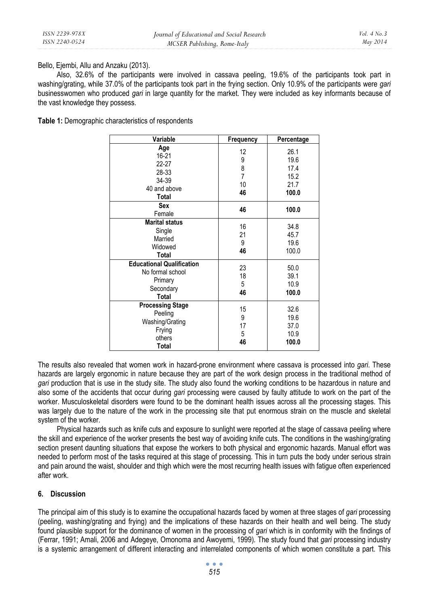Bello, Ejembi, Allu and Anzaku (2013).

Also, 32.6% of the participants were involved in cassava peeling, 19.6% of the participants took part in washing/grating, while 37.0% of the participants took part in the frying section. Only 10.9% of the participants were *gari* businesswomen who produced *gari* in large quantity for the market. They were included as key informants because of the vast knowledge they possess.

**Table 1:** Demographic characteristics of respondents

| Variable                                                                              | Frequency                                  | Percentage                                    |
|---------------------------------------------------------------------------------------|--------------------------------------------|-----------------------------------------------|
| Age<br>16-21<br>$22 - 27$<br>28-33<br>34-39<br>40 and above<br>Total                  | 12<br>9<br>8<br>$\overline{7}$<br>10<br>46 | 26.1<br>19.6<br>17.4<br>15.2<br>21.7<br>100.0 |
| Sex<br>Female                                                                         | 46                                         | 100.0                                         |
| <b>Marital status</b><br>Single<br>Married<br>Widowed<br>Total                        | 16<br>21<br>9<br>46                        | 34.8<br>45.7<br>19.6<br>100.0                 |
| <b>Educational Qualification</b><br>No formal school<br>Primary<br>Secondary<br>Total | 23<br>18<br>5<br>46                        | 50.0<br>39.1<br>10.9<br>100.0                 |
| <b>Processing Stage</b><br>Peeling<br>Washing/Grating<br>Frying<br>others<br>Total    | 15<br>9<br>17<br>5<br>46                   | 32.6<br>19.6<br>37.0<br>10.9<br>100.0         |

The results also revealed that women work in hazard-prone environment where cassava is processed into *gari*. These hazards are largely ergonomic in nature because they are part of the work design process in the traditional method of *gari* production that is use in the study site. The study also found the working conditions to be hazardous in nature and also some of the accidents that occur during *gari* processing were caused by faulty attitude to work on the part of the worker. Musculoskeletal disorders were found to be the dominant health issues across all the processing stages. This was largely due to the nature of the work in the processing site that put enormous strain on the muscle and skeletal system of the worker.

Physical hazards such as knife cuts and exposure to sunlight were reported at the stage of cassava peeling where the skill and experience of the worker presents the best way of avoiding knife cuts. The conditions in the washing/grating section present daunting situations that expose the workers to both physical and ergonomic hazards. Manual effort was needed to perform most of the tasks required at this stage of processing. This in turn puts the body under serious strain and pain around the waist, shoulder and thigh which were the most recurring health issues with fatigue often experienced after work.

# **6. Discussion**

The principal aim of this study is to examine the occupational hazards faced by women at three stages of *gari* processing (peeling, washing/grating and frying) and the implications of these hazards on their health and well being. The study found plausible support for the dominance of women in the processing of *gari* which is in conformity with the findings of (Ferrar, 1991; Amali, 2006 and Adegeye, Omonoma and Awoyemi, 1999)*.* The study found that *gari* processing industry is a systemic arrangement of different interacting and interrelated components of which women constitute a part. This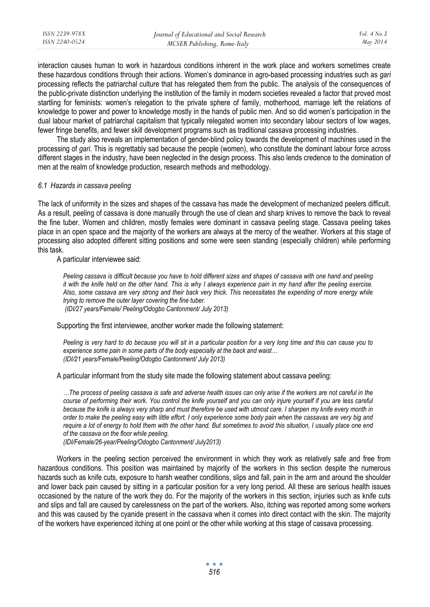interaction causes human to work in hazardous conditions inherent in the work place and workers sometimes create these hazardous conditions through their actions. Women's dominance in agro-based processing industries such as *gari* processing reflects the patriarchal culture that has relegated them from the public. The analysis of the consequences of the public-private distinction underlying the institution of the family in modern societies revealed a factor that proved most startling for feminists: women's relegation to the private sphere of family, motherhood, marriage left the relations of knowledge to power and power to knowledge mostly in the hands of public men. And so did women's participation in the dual labour market of patriarchal capitalism that typically relegated women into secondary labour sectors of low wages, fewer fringe benefits, and fewer skill development programs such as traditional cassava processing industries.

The study also reveals an implementation of gender-blind policy towards the development of machines used in the processing of *gari*. This is regrettably sad because the people (women), who constitute the dominant labour force across different stages in the industry, have been neglected in the design process. This also lends credence to the domination of men at the realm of knowledge production, research methods and methodology.

#### *6.1 Hazards in cassava peeling*

The lack of uniformity in the sizes and shapes of the cassava has made the development of mechanized peelers difficult. As a result, peeling of cassava is done manually through the use of clean and sharp knives to remove the back to reveal the fine tuber. Women and children, mostly females were dominant in cassava peeling stage. Cassava peeling takes place in an open space and the majority of the workers are always at the mercy of the weather. Workers at this stage of processing also adopted different sitting positions and some were seen standing (especially children) while performing this task.

A particular interviewee said:

*Peeling cassava is difficult because you have to hold different sizes and shapes of cassava with one hand and peeling it with the knife held on the other hand. This is why I always experience pain in my hand after the peeling exercise. Also, some cassava are very strong and their back very thick. This necessitates the expending of more energy while trying to remove the outer layer covering the fine tuber. (IDI/27 years/Female/ Peeling/Odogbo Cantonment/ July 2013)* 

Supporting the first interviewee, another worker made the following statement:

*Peeling is very hard to do because you will sit in a particular position for a very long time and this can cause you to experience some pain in some parts of the body especially at the back and waist… (IDI/21 years/Female/Peeling/Odogbo Cantonment/ July 2013)* 

A particular informant from the study site made the following statement about cassava peeling:

*…The process of peeling cassava is safe and adverse health issues can only arise if the workers are not careful in the course of performing their work. You control the knife yourself and you can only injure yourself if you are less careful because the knife is always very sharp and must therefore be used with utmost care. I sharpen my knife every month in order to make the peeling easy with little effort. I only experience some body pain when the cassavas are very big and require a lot of energy to hold them with the other hand. But sometimes to avoid this situation, I usually place one end of the cassava on the floor while peeling.* 

*(IDI/Female/26-year/Peeling/Odogbo Cantonment/ July2013)* 

Workers in the peeling section perceived the environment in which they work as relatively safe and free from hazardous conditions. This position was maintained by majority of the workers in this section despite the numerous hazards such as knife cuts, exposure to harsh weather conditions, slips and fall, pain in the arm and around the shoulder and lower back pain caused by sitting in a particular position for a very long period. All these are serious health issues occasioned by the nature of the work they do. For the majority of the workers in this section, injuries such as knife cuts and slips and fall are caused by carelessness on the part of the workers. Also, itching was reported among some workers and this was caused by the cyanide present in the cassava when it comes into direct contact with the skin. The majority of the workers have experienced itching at one point or the other while working at this stage of cassava processing.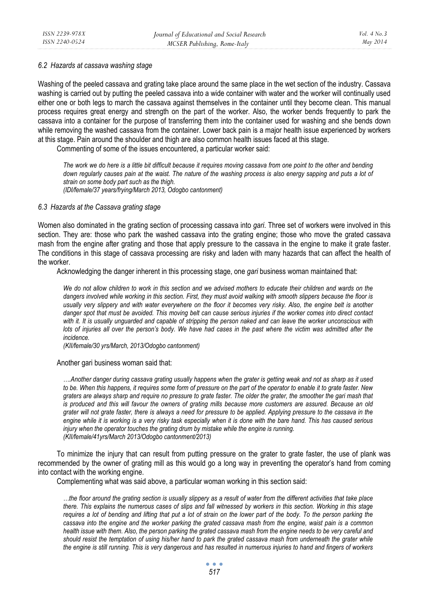### *6.2 Hazards at cassava washing stage*

Washing of the peeled cassava and grating take place around the same place in the wet section of the industry. Cassava washing is carried out by putting the peeled cassava into a wide container with water and the worker will continually used either one or both legs to march the cassava against themselves in the container until they become clean. This manual process requires great energy and strength on the part of the worker. Also, the worker bends frequently to park the cassava into a container for the purpose of transferring them into the container used for washing and she bends down while removing the washed cassava from the container. Lower back pain is a major health issue experienced by workers at this stage. Pain around the shoulder and thigh are also common health issues faced at this stage.

Commenting of some of the issues encountered, a particular worker said:

*The work we do here is a little bit difficult because it requires moving cassava from one point to the other and bending*  down regularly causes pain at the waist. The nature of the washing process is also energy sapping and puts a lot of *strain on some body part such as the thigh. (IDI/female/37 years/frying/March 2013, Odogbo cantonment)* 

## *6.3 Hazards at the Cassava grating stage*

Women also dominated in the grating section of processing cassava into *gari*. Three set of workers were involved in this section. They are: those who park the washed cassava into the grating engine; those who move the grated cassava mash from the engine after grating and those that apply pressure to the cassava in the engine to make it grate faster. The conditions in this stage of cassava processing are risky and laden with many hazards that can affect the health of the worker.

Acknowledging the danger inherent in this processing stage, one *gari* business woman maintained that:

*We do not allow children to work in this section and we advised mothers to educate their children and wards on the dangers involved while working in this section. First, they must avoid walking with smooth slippers because the floor is*  usually very slippery and with water everywhere on the floor it becomes very risky. Also, the engine belt is another *danger spot that must be avoided. This moving belt can cause serious injuries if the worker comes into direct contact with it. It is usually unguarded and capable of stripping the person naked and can leave the worker unconscious with lots of injuries all over the person's body. We have had cases in the past where the victim was admitted after the incidence.* 

*(KII/female/30 yrs/March, 2013/Odogbo cantonment)* 

#### Another gari business woman said that:

*….Another danger during cassava grating usually happens when the grater is getting weak and not as sharp as it used to be. When this happens, it requires some form of pressure on the part of the operator to enable it to grate faster. New graters are always sharp and require no pressure to grate faster. The older the grater, the smoother the gari mash that is produced and this will favour the owners of grating mills because more customers are assured. Because an old grater will not grate faster, there is always a need for pressure to be applied. Applying pressure to the cassava in the engine while it is working is a very risky task especially when it is done with the bare hand. This has caused serious injury when the operator touches the grating drum by mistake while the engine is running. (KII/female/41yrs/March 2013/Odogbo cantonment/2013)* 

To minimize the injury that can result from putting pressure on the grater to grate faster, the use of plank was recommended by the owner of grating mill as this would go a long way in preventing the operator's hand from coming into contact with the working engine.

Complementing what was said above, a particular woman working in this section said:

*…the floor around the grating section is usually slippery as a result of water from the different activities that take place there. This explains the numerous cases of slips and fall witnessed by workers in this section. Working in this stage requires a lot of bending and lifting that put a lot of strain on the lower part of the body. To the person parking the cassava into the engine and the worker parking the grated cassava mash from the engine, waist pain is a common health issue with them. Also, the person parking the grated cassava mash from the engine needs to be very careful and*  should resist the temptation of using his/her hand to park the grated cassava mash from underneath the grater while *the engine is still running. This is very dangerous and has resulted in numerous injuries to hand and fingers of workers*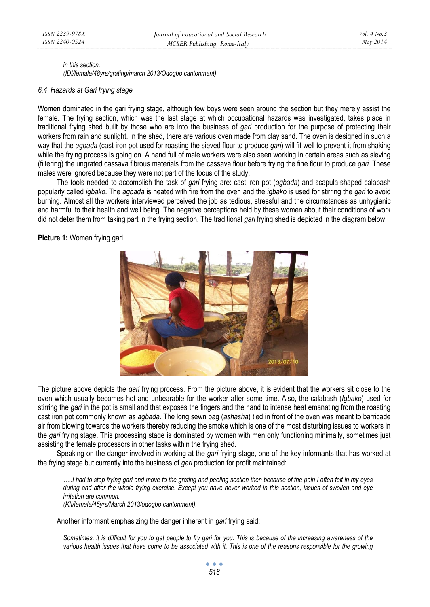*Vol. 4 No.3 May 2014* 

*in this section. (IDI/female/48yrs/grating/march 2013/Odogbo cantonment)* 

#### *6.4 Hazards at Gari frying stage*

Women dominated in the gari frying stage, although few boys were seen around the section but they merely assist the female. The frying section, which was the last stage at which occupational hazards was investigated, takes place in traditional frying shed built by those who are into the business of *gari* production for the purpose of protecting their workers from rain and sunlight. In the shed, there are various oven made from clay sand. The oven is designed in such a way that the *agbada* (cast-iron pot used for roasting the sieved flour to produce *gari*) will fit well to prevent it from shaking while the frying process is going on. A hand full of male workers were also seen working in certain areas such as sieving (filtering) the ungrated cassava fibrous materials from the cassava flour before frying the fine flour to produce *gari.* These males were ignored because they were not part of the focus of the study.

The tools needed to accomplish the task of *gari* frying are: cast iron pot (*agbada*) and scapula-shaped calabash popularly called *igbako*. The *agbada* is heated with fire from the oven and the *igbako* is used for stirring the *gari* to avoid burning. Almost all the workers interviewed perceived the job as tedious, stressful and the circumstances as unhygienic and harmful to their health and well being. The negative perceptions held by these women about their conditions of work did not deter them from taking part in the frying section. The traditional *gari* frying shed is depicted in the diagram below:

**Picture 1:** Women frying gari



The picture above depicts the *gari* frying process. From the picture above, it is evident that the workers sit close to the oven which usually becomes hot and unbearable for the worker after some time. Also, the calabash (*Igbako*) used for stirring the *gari* in the pot is small and that exposes the fingers and the hand to intense heat emanating from the roasting cast iron pot commonly known as *agbada*. The long sewn bag (*ashasha*) tied in front of the oven was meant to barricade air from blowing towards the workers thereby reducing the smoke which is one of the most disturbing issues to workers in the *gari* frying stage. This processing stage is dominated by women with men only functioning minimally, sometimes just assisting the female processors in other tasks within the frying shed.

Speaking on the danger involved in working at the *gari* frying stage, one of the key informants that has worked at the frying stage but currently into the business of *gari* production for profit maintained:

*…..I had to stop frying gari and move to the grating and peeling section then because of the pain I often felt in my eyes during and after the whole frying exercise. Except you have never worked in this section, issues of swollen and eye irritation are common. (KII/female/45yrs/March 2013/odogbo cantonment).* 

Another informant emphasizing the danger inherent in *gari* frying said:

*Sometimes, it is difficult for you to get people to fry gari for you. This is because of the increasing awareness of the various health issues that have come to be associated with it. This is one of the reasons responsible for the growing*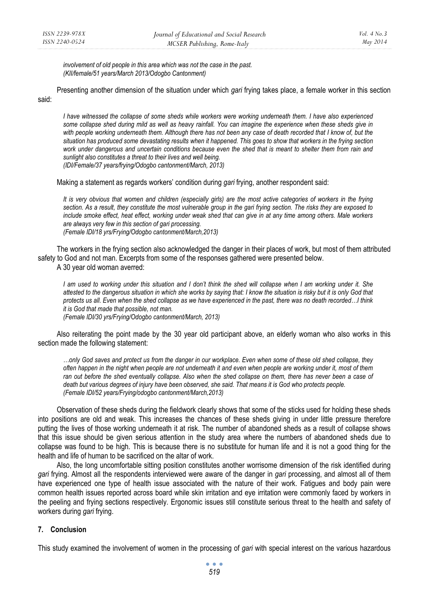*involvement of old people in this area which was not the case in the past. (KII/female/51 years/March 2013/Odogbo Cantonment)* 

Presenting another dimension of the situation under which *gari* frying takes place, a female worker in this section said:

*I have witnessed the collapse of some sheds while workers were working underneath them. I have also experienced some collapse shed during mild as well as heavy rainfall. You can imagine the experience when these sheds give in*  with people working underneath them. Although there has not been any case of death recorded that I know of, but the *situation has produced some devastating results when it happened. This goes to show that workers in the frying section work under dangerous and uncertain conditions because even the shed that is meant to shelter them from rain and sunlight also constitutes a threat to their lives and well being. (IDI/Female/37 years/frying/Odogbo cantonment/March, 2013)* 

Making a statement as regards workers' condition during *gari* frying, another respondent said:

*It is very obvious that women and children (especially girls) are the most active categories of workers in the frying section. As a result, they constitute the most vulnerable group in the gari frying section. The risks they are exposed to include smoke effect, heat effect, working under weak shed that can give in at any time among others. Male workers are always very few in this section of gari processing. (Female IDI/18 yrs/Frying/Odogbo cantonment/March,2013)* 

The workers in the frying section also acknowledged the danger in their places of work, but most of them attributed safety to God and not man. Excerpts from some of the responses gathered were presented below.

A 30 year old woman averred:

*I am used to working under this situation and I don't think the shed will collapse when I am working under it. She attested to the dangerous situation in which she works by saying that: I know the situation is risky but it is only God that protects us all. Even when the shed collapse as we have experienced in the past, there was no death recorded…I think it is God that made that possible, not man.* 

*(Female IDI/30 yrs/Frying/Odogbo cantonment/March, 2013)* 

Also reiterating the point made by the 30 year old participant above, an elderly woman who also works in this section made the following statement:

*…only God saves and protect us from the danger in our workplace. Even when some of these old shed collapse, they often happen in the night when people are not underneath it and even when people are working under it, most of them ran out before the shed eventually collapse. Also when the shed collapse on them, there has never been a case of death but various degrees of injury have been observed, she said. That means it is God who protects people. (Female IDI/52 years/Frying/odogbo cantonment/March,2013)* 

Observation of these sheds during the fieldwork clearly shows that some of the sticks used for holding these sheds into positions are old and weak. This increases the chances of these sheds giving in under little pressure therefore putting the lives of those working underneath it at risk. The number of abandoned sheds as a result of collapse shows that this issue should be given serious attention in the study area where the numbers of abandoned sheds due to collapse was found to be high. This is because there is no substitute for human life and it is not a good thing for the health and life of human to be sacrificed on the altar of work.

Also, the long uncomfortable sitting position constitutes another worrisome dimension of the risk identified during *gari* frying. Almost all the respondents interviewed were aware of the danger in *gari* processing, and almost all of them have experienced one type of health issue associated with the nature of their work. Fatigues and body pain were common health issues reported across board while skin irritation and eye irritation were commonly faced by workers in the peeling and frying sections respectively. Ergonomic issues still constitute serious threat to the health and safety of workers during *gari* frying.

# **7. Conclusion**

This study examined the involvement of women in the processing of *gari* with special interest on the various hazardous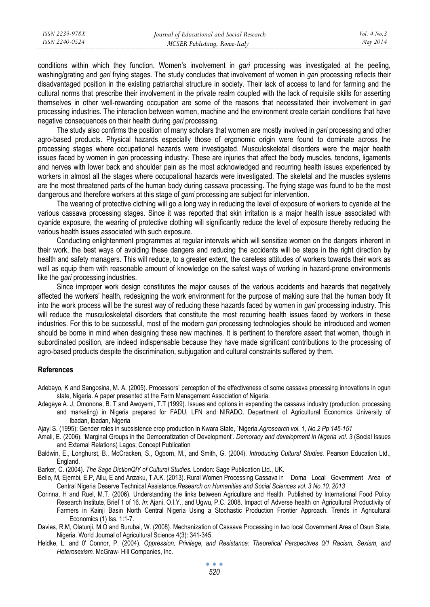conditions within which they function. Women's involvement in *gari* processing was investigated at the peeling, washing/grating and *gari* frying stages. The study concludes that involvement of women in *gari* processing reflects their disadvantaged position in the existing patriarchal structure in society. Their lack of access to land for farming and the cultural norms that prescribe their involvement in the private realm coupled with the lack of requisite skills for asserting themselves in other well-rewarding occupation are some of the reasons that necessitated their involvement in *gari* processing industries. The interaction between women, machine and the environment create certain conditions that have negative consequences on their health during *gari* processing.

The study also confirms the position of many scholars that women are mostly involved in *gari* processing and other agro-based products. Physical hazards especially those of ergonomic origin were found to dominate across the processing stages where occupational hazards were investigated. Musculoskeletal disorders were the major health issues faced by women in *gari* processing industry. These are injuries that affect the body muscles, tendons, ligaments and nerves with lower back and shoulder pain as the most acknowledged and recurring health issues experienced by workers in almost all the stages where occupational hazards were investigated. The skeletal and the muscles systems are the most threatened parts of the human body during cassava processing. The frying stage was found to be the most dangerous and therefore workers at this stage of *garri* processing are subject for intervention.

The wearing of protective clothing will go a long way in reducing the level of exposure of workers to cyanide at the various cassava processing stages. Since it was reported that skin irritation is a major health issue associated with cyanide exposure, the wearing of protective clothing will significantly reduce the level of exposure thereby reducing the various health issues associated with such exposure.

Conducting enlightenment programmes at regular intervals which will sensitize women on the dangers inherent in their work, the best ways of avoiding these dangers and reducing the accidents will be steps in the right direction by health and safety managers. This will reduce, to a greater extent, the careless attitudes of workers towards their work as well as equip them with reasonable amount of knowledge on the safest ways of working in hazard-prone environments like the *gari* processing industries.

Since improper work design constitutes the major causes of the various accidents and hazards that negatively affected the workers' health, redesigning the work environment for the purpose of making sure that the human body fit into the work process will be the surest way of reducing these hazards faced by women in *gari* processing industry. This will reduce the musculoskeletal disorders that constitute the most recurring health issues faced by workers in these industries. For this to be successful, most of the modern *gari* processing technologies should be introduced and women should be borne in mind when designing these new machines. It is pertinent to therefore assert that women, though in subordinated position, are indeed indispensable because they have made significant contributions to the processing of agro-based products despite the discrimination, subjugation and cultural constraints suffered by them.

#### **References**

- Adebayo, K and Sangosina, M. A. (2005). Processors' perception of the effectiveness of some cassava processing innovations in ogun state, Nigeria. A paper presented at the Farm Management Association of Nigeria.
- Adegeye A. J, Omonona, B. T and Awoyemi, T.T (1999). Issues and options in expanding the cassava industry (production, processing and marketing) in Nigeria prepared for FADU, LFN and NIRADO. Department of Agricultural Economics University of Ibadan, Ibadan, Nigeria
- Ajayi S. (1995): Gender roles in subsistence crop production in Kwara State, `Nigeria. *Agrosearch vol. 1, No.2 Pp 145-151*
- Amali, E. (2006). 'Marginal Groups in the Democratization of Development'. *Demoracy and development in Nigeria vol. 3* (Social Issues and External Relations) Lagos; Concept Publication
- Baldwin, E., Longhurst, B., McCracken, S., Ogborn, M., and Smith, G. (2004). *Introducing Cultural Studies.* Pearson Education Ltd., England.
- Barker, C. (2004). *The Sage DictionQlY of Cultural Studies.* London: Sage Publication Ltd., UK.
- Bello, M, Ejembi, E.P, Allu, E and Anzaku, T.A.K. (2013). Rural Women Processing Cassava in Doma Local Government Area of Central Nigeria Deserve Technical Assistance.*Research on Humanities and Social Sciences vol. 3 No.10, 2013*
- Corinna, H and Ruel, M.T. (2006). Understanding the links between Agriculture and Health. Published by International Food Policy Research Institute, Brief 1 of 16. *In*: Ajani, O.I.Y., and Ugwu, P.C. 2008. Impact of Adverse health on Agricultural Productivity of Farmers in Kainji Basin North Central Nigeria Using a Stochastic Production Frontier Approach. Trends in Agricultural Economics (1) Iss. 1:1-7.
- Davies, R.M, Olatunji, M.O and Burubai, W. (2008). Mechanization of Cassava Processing in Iwo local Government Area of Osun State, Nigeria. World Journal of Agricultural Science 4(3): 341-345.
- Heldke, L. and 0' Connor, P. (2004). *Oppression, Privilege, and Resistance: Theoretical Perspectives 0/1 Racism, Sexism, and Heterosexism.* McGraw- Hill Companies, Inc.